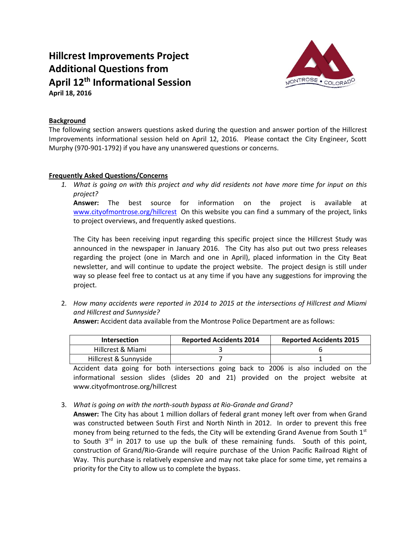## **Hillcrest Improvements Project Additional Questions from April 12 th Informational Session April 18, 2016**



## **Background**

The following section answers questions asked during the question and answer portion of the Hillcrest Improvements informational session held on April 12, 2016. Please contact the City Engineer, Scott Murphy (970-901-1792) if you have any unanswered questions or concerns.

## **Frequently Asked Questions/Concerns**

*1. What is going on with this project and why did residents not have more time for input on this project?* 

**Answer:** The best source for information on the project is available at [www.cityofmontrose.org/hillcrest](http://www.cityofmontrose.org/hillcrest) On this website you can find a summary of the project, links to project overviews, and frequently asked questions.

The City has been receiving input regarding this specific project since the Hillcrest Study was announced in the newspaper in January 2016. The City has also put out two press releases regarding the project (one in March and one in April), placed information in the City Beat newsletter, and will continue to update the project website. The project design is still under way so please feel free to contact us at any time if you have any suggestions for improving the project.

2. *How many accidents were reported in 2014 to 2015 at the intersections of Hillcrest and Miami and Hillcrest and Sunnyside?* 

**Answer:** Accident data available from the Montrose Police Department are as follows:

| <b>Intersection</b>   | <b>Reported Accidents 2014</b> | <b>Reported Accidents 2015</b> |
|-----------------------|--------------------------------|--------------------------------|
| Hillcrest & Miami     |                                |                                |
| Hillcrest & Sunnyside |                                |                                |

Accident data going for both intersections going back to 2006 is also included on the informational session slides (slides 20 and 21) provided on the project website at www.cityofmontrose.org/hillcrest

3. *What is going on with the north-south bypass at Rio-Grande and Grand?*

**Answer:** The City has about 1 million dollars of federal grant money left over from when Grand was constructed between South First and North Ninth in 2012. In order to prevent this free money from being returned to the feds, the City will be extending Grand Avenue from South  $1<sup>st</sup>$ to South 3<sup>rd</sup> in 2017 to use up the bulk of these remaining funds. South of this point, construction of Grand/Rio-Grande will require purchase of the Union Pacific Railroad Right of Way. This purchase is relatively expensive and may not take place for some time, yet remains a priority for the City to allow us to complete the bypass.